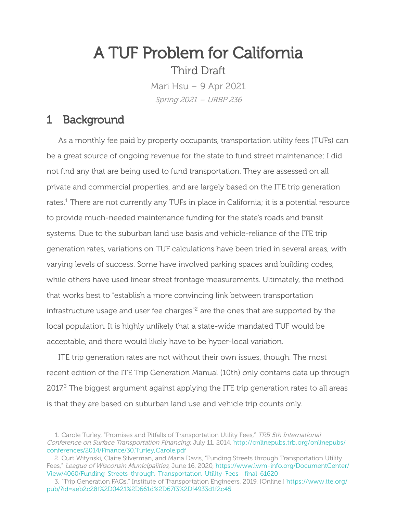# A TUF Problem for California

Third Draft

Mari Hsu – 9 Apr 2021 Spring 2021 – URBP 236

### 1 Background

As a monthly fee paid by property occupants, transportation utility fees (TUFs) can be a great source of ongoing revenue for the state to fund street maintenance; I did not find any that are being used to fund transportation. They are assessed on all private and commercial properties, and are largely based on the ITE trip generation rates.<sup>1</sup> There are not currently any TUFs in place in California; it is a potential resource to provide much-needed maintenance funding for the state's roads and transit systems. Due to the suburban land use basis and vehicle-reliance of the ITE trip generation rates, variations on TUF calculations have been tried in several areas, with varying levels of success. Some have involved parking spaces and building codes, while others have used linear street frontage measurements. Ultimately, the method that works best to "establish a more convincing link between transportation infrastructure usage and user fee charges"<sup>2</sup> are the ones that are supported by the local population. It is highly unlikely that a state-wide mandated TUF would be acceptable, and there would likely have to be hyper-local variation.

ITE trip generation rates are not without their own issues, though. The most recent edition of the ITE Trip Generation Manual (10th) only contains data up through  $2017<sup>3</sup>$  The biggest argument against applying the ITE trip generation rates to all areas is that they are based on suburban land use and vehicle trip counts only.

<sup>1.</sup> Carole Turley, "Promises and Pitfalls of Transportation Utility Fees," TRB 5th International Conference on Surface Transportation Financing, July 11, 2014, [http://onlinepubs.trb.org/onlinepubs/](http://onlinepubs.trb.org/onlinepubs/conferences/2014/Finance/30.Turley,Carole.pdf) [conferences/2014/Finance/30.Turley,Carole.pdf](http://onlinepubs.trb.org/onlinepubs/conferences/2014/Finance/30.Turley,Carole.pdf)

<sup>2.</sup> Curt Witynski, Claire Silverman, and Maria Davis, "Funding Streets through Transportation Utility Fees," League of Wisconsin Municipalities, June 16, 2020, https://www.lwm-info.org/DocumentCenter/ View/4060/Funding-Streets-through-Transportation-Utility-Fees--final-61620

<sup>3.</sup> "Trip Generation FAQs," Institute of Transportation Engineers, 2019. [Online.] [https://www.ite.org/](https://www.ite.org/pub/?id=aeb2c28f%2D0421%2D661d%2D67f3%2Df4933d1f2c45) [pub/?id=aeb2c28f%2D0421%2D661d%2D67f3%2Df4933d1f2c45](https://www.ite.org/pub/?id=aeb2c28f%2D0421%2D661d%2D67f3%2Df4933d1f2c45)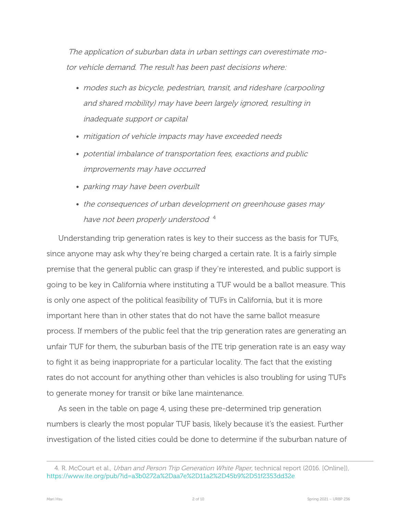The application of suburban data in urban settings can overestimate motor vehicle demand. The result has been past decisions where:

- modes such as bicycle, pedestrian, transit, and rideshare (carpooling and shared mobility) may have been largely ignored, resulting in inadequate support or capital
- mitigation of vehicle impacts may have exceeded needs
- potential imbalance of transportation fees, exactions and public improvements may have occurred
- parking may have been overbuilt
- the consequences of urban development on greenhouse gases may have not been properly understood <sup>4</sup>

Understanding trip generation rates is key to their success as the basis for TUFs, since anyone may ask why they're being charged a certain rate. It is a fairly simple premise that the general public can grasp if they're interested, and public support is going to be key in California where instituting a TUF would be a ballot measure. This is only one aspect of the political feasibility of TUFs in California, but it is more important here than in other states that do not have the same ballot measure process. If members of the public feel that the trip generation rates are generating an unfair TUF for them, the suburban basis of the ITE trip generation rate is an easy way to fight it as being inappropriate for a particular locality. The fact that the existing rates do not account for anything other than vehicles is also troubling for using TUFs to generate money for transit or bike lane maintenance.

As seen in the table on page 4, using these pre-determined trip generation numbers is clearly the most popular TUF basis, likely because it's the easiest. Further investigation of the listed cities could be done to determine if the suburban nature of

<sup>4.</sup> R. McCourt et al., *Urban and Person Trip Generation White Paper*, technical report (2016. [Online]), <https://www.ite.org/pub/?id=a3b0272a%2Daa7e%2D11a2%2D45b9%2D51f2353dd32e>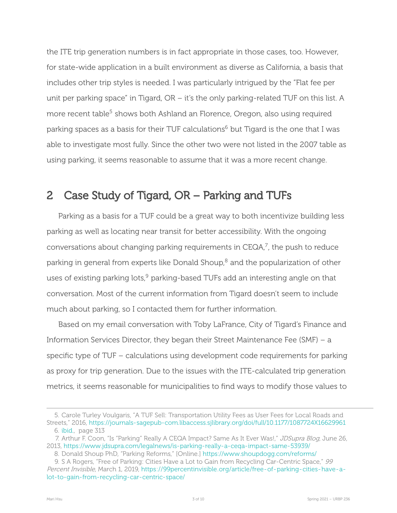the ITE trip generation numbers is in fact appropriate in those cases, too. However, for state-wide application in a built environment as diverse as California, a basis that includes other trip styles is needed. I was particularly intrigued by the "Flat fee per unit per parking space" in Tigard,  $OR - it's$  the only parking-related TUF on this list. A more recent table<sup>5</sup> shows both Ashland an Florence, Oregon, also using required parking spaces as a basis for their TUF calculations<sup>6</sup> but Tigard is the one that I was able to investigate most fully. Since the other two were not listed in the 2007 table as using parking, it seems reasonable to assume that it was a more recent change.

# 2 Case Study of Tigard, OR – Parking and TUFs

Parking as a basis for a TUF could be a great way to both incentivize building less parking as well as locating near transit for better accessibility. With the ongoing conversations about changing parking requirements in CEQA, $^7$ , the push to reduce parking in general from experts like Donald Shoup, $8$  and the popularization of other uses of existing parking lots, $9$  parking-based TUFs add an interesting angle on that conversation. Most of the current information from Tigard doesn't seem to include much about parking, so I contacted them for further information.

Based on my email conversation with Toby LaFrance, City of Tigard's Finance and Information Services Director, they began their Street Maintenance Fee (SMF) – a specific type of TUF – calculations using development code requirements for parking as proxy for trip generation. Due to the issues with the ITE-calculated trip generation metrics, it seems reasonable for municipalities to find ways to modify those values to

<span id="page-2-0"></span><sup>5.</sup> Carole Turley Voulgaris, "A TUF Sell: Transportation Utility Fees as User Fees for Local Roads and Streets," 2016, https://journals-sagepub-com.libaccess.sjlibrary.org/doi/full/10.1177/1087724X16629961 6. [ibid.,](#page-2-0) page 313

<sup>7.</sup> Arthur F. Coon, "Is "Parking" Really A CEQA Impact? Same As It Ever Was!," JDSupra Blog, June 26, 2013, https://www.jdsupra.com/legalnews/is-parking-really-a-cega-impact-same-53939/

<sup>8.</sup> Donald Shoup PhD, "Parking Reforms," [Online.] <https://www.shoupdogg.com/reforms/>

<sup>9.</sup> S A Rogers, "Free of Parking: Cities Have a Lot to Gain from Recycling Car-Centric Space," 99 Percent Invisible, March 1, 2019, https://99percentinvisible.org/article/free-of-parking-cities-have-alot-to-gain-from-recycling-car-centric-space/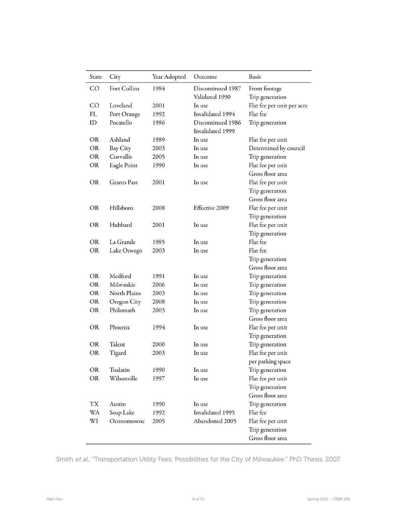| Fort Collins<br><b>CO</b><br>1984<br>Discontinued 1987<br>Front footage<br>Validated 1990<br>Trip generation<br>Flat fee per unit per acre<br>2001<br>CO<br>Loveland<br>In use<br>Flat fee<br><b>FL</b><br>Port Orange<br>Invalidated 1994<br>1992<br>ID<br>Pocatello<br>1986<br>Trip generation<br>Discontinued 1986<br>Invalidated 1999<br>Ashland<br>OR.<br>Flat fee per unit<br>1989<br>In use<br><b>OR</b><br>Bay City<br>2003<br>In use<br>Determined by council<br><b>OR</b><br>Corvallis<br>2005<br>Trip generation<br>In use<br>Flat fee per unit<br><b>OR</b><br>Eagle Point<br>1990<br>In use<br>Gross floor area<br><b>Grants</b> Pass<br>Flat fee per unit<br>OR<br>2001<br>In use<br>Trip generation<br>Gross floor area<br>Hillsboro<br>Effective 2009<br>Flat fee per unit<br><b>OR</b><br>2008<br>Trip generation<br>Hubbard<br><b>OR</b><br>2001<br>In use<br>Flat fee per unit<br>Trip generation<br>Flat fee<br><b>OR</b><br>La Grande<br>In use<br>1985<br>Flat fee<br><b>OR</b><br>2003<br>Lake Oswego<br>In use<br>Trip generation<br>Gross floor area<br>Medford<br><b>OR</b><br>1991<br>In use<br>Trip generation<br><b>OR</b><br>Milwaukie<br>2006<br>In use<br>Trip generation<br><b>OR</b><br>North Plains<br>2003<br>In use<br>Trip generation<br><b>OR</b><br>Oregon City<br>2008<br>In use<br>Trip generation<br><b>OR</b><br>Philomath<br>2003<br>Trip generation<br>In use<br>Gross floor area<br><b>OR</b><br>Phoenix<br>1994<br>In use<br>Flat fee per unit<br>Trip generation<br>Talent<br>Trip generation<br>OR<br>In use<br>2000<br><b>OR</b><br>Tigard<br>Flat fee per unit<br>2003<br>In use<br>per parking space<br><b>OR</b><br>Tualatin<br>1990<br>In use<br>Trip generation<br><b>OR</b><br>Wilsonville<br>In use<br>Flat fee per unit<br>1997<br>Trip generation<br>Gross floor area<br>TХ<br>Austin<br>1990<br>In use<br>Trip generation<br><b>WA</b><br>Soap Lake<br>Invalidated 1995<br>Flat fee<br>1992<br>WI<br>Abandoned 2005<br>2005<br>Flat fee per unit<br>Oconomowoc<br>Trip generation | State | City | Year Adopted | Outcome | Basis            |
|------------------------------------------------------------------------------------------------------------------------------------------------------------------------------------------------------------------------------------------------------------------------------------------------------------------------------------------------------------------------------------------------------------------------------------------------------------------------------------------------------------------------------------------------------------------------------------------------------------------------------------------------------------------------------------------------------------------------------------------------------------------------------------------------------------------------------------------------------------------------------------------------------------------------------------------------------------------------------------------------------------------------------------------------------------------------------------------------------------------------------------------------------------------------------------------------------------------------------------------------------------------------------------------------------------------------------------------------------------------------------------------------------------------------------------------------------------------------------------------------------------------------------------------------------------------------------------------------------------------------------------------------------------------------------------------------------------------------------------------------------------------------------------------------------------------------------------------------------------------------------------------------------------------------------------------------------------------------------------------------------------------------------------------------|-------|------|--------------|---------|------------------|
|                                                                                                                                                                                                                                                                                                                                                                                                                                                                                                                                                                                                                                                                                                                                                                                                                                                                                                                                                                                                                                                                                                                                                                                                                                                                                                                                                                                                                                                                                                                                                                                                                                                                                                                                                                                                                                                                                                                                                                                                                                                |       |      |              |         |                  |
|                                                                                                                                                                                                                                                                                                                                                                                                                                                                                                                                                                                                                                                                                                                                                                                                                                                                                                                                                                                                                                                                                                                                                                                                                                                                                                                                                                                                                                                                                                                                                                                                                                                                                                                                                                                                                                                                                                                                                                                                                                                |       |      |              |         |                  |
|                                                                                                                                                                                                                                                                                                                                                                                                                                                                                                                                                                                                                                                                                                                                                                                                                                                                                                                                                                                                                                                                                                                                                                                                                                                                                                                                                                                                                                                                                                                                                                                                                                                                                                                                                                                                                                                                                                                                                                                                                                                |       |      |              |         |                  |
|                                                                                                                                                                                                                                                                                                                                                                                                                                                                                                                                                                                                                                                                                                                                                                                                                                                                                                                                                                                                                                                                                                                                                                                                                                                                                                                                                                                                                                                                                                                                                                                                                                                                                                                                                                                                                                                                                                                                                                                                                                                |       |      |              |         |                  |
|                                                                                                                                                                                                                                                                                                                                                                                                                                                                                                                                                                                                                                                                                                                                                                                                                                                                                                                                                                                                                                                                                                                                                                                                                                                                                                                                                                                                                                                                                                                                                                                                                                                                                                                                                                                                                                                                                                                                                                                                                                                |       |      |              |         |                  |
|                                                                                                                                                                                                                                                                                                                                                                                                                                                                                                                                                                                                                                                                                                                                                                                                                                                                                                                                                                                                                                                                                                                                                                                                                                                                                                                                                                                                                                                                                                                                                                                                                                                                                                                                                                                                                                                                                                                                                                                                                                                |       |      |              |         |                  |
|                                                                                                                                                                                                                                                                                                                                                                                                                                                                                                                                                                                                                                                                                                                                                                                                                                                                                                                                                                                                                                                                                                                                                                                                                                                                                                                                                                                                                                                                                                                                                                                                                                                                                                                                                                                                                                                                                                                                                                                                                                                |       |      |              |         |                  |
|                                                                                                                                                                                                                                                                                                                                                                                                                                                                                                                                                                                                                                                                                                                                                                                                                                                                                                                                                                                                                                                                                                                                                                                                                                                                                                                                                                                                                                                                                                                                                                                                                                                                                                                                                                                                                                                                                                                                                                                                                                                |       |      |              |         |                  |
|                                                                                                                                                                                                                                                                                                                                                                                                                                                                                                                                                                                                                                                                                                                                                                                                                                                                                                                                                                                                                                                                                                                                                                                                                                                                                                                                                                                                                                                                                                                                                                                                                                                                                                                                                                                                                                                                                                                                                                                                                                                |       |      |              |         |                  |
|                                                                                                                                                                                                                                                                                                                                                                                                                                                                                                                                                                                                                                                                                                                                                                                                                                                                                                                                                                                                                                                                                                                                                                                                                                                                                                                                                                                                                                                                                                                                                                                                                                                                                                                                                                                                                                                                                                                                                                                                                                                |       |      |              |         |                  |
|                                                                                                                                                                                                                                                                                                                                                                                                                                                                                                                                                                                                                                                                                                                                                                                                                                                                                                                                                                                                                                                                                                                                                                                                                                                                                                                                                                                                                                                                                                                                                                                                                                                                                                                                                                                                                                                                                                                                                                                                                                                |       |      |              |         |                  |
|                                                                                                                                                                                                                                                                                                                                                                                                                                                                                                                                                                                                                                                                                                                                                                                                                                                                                                                                                                                                                                                                                                                                                                                                                                                                                                                                                                                                                                                                                                                                                                                                                                                                                                                                                                                                                                                                                                                                                                                                                                                |       |      |              |         |                  |
|                                                                                                                                                                                                                                                                                                                                                                                                                                                                                                                                                                                                                                                                                                                                                                                                                                                                                                                                                                                                                                                                                                                                                                                                                                                                                                                                                                                                                                                                                                                                                                                                                                                                                                                                                                                                                                                                                                                                                                                                                                                |       |      |              |         |                  |
|                                                                                                                                                                                                                                                                                                                                                                                                                                                                                                                                                                                                                                                                                                                                                                                                                                                                                                                                                                                                                                                                                                                                                                                                                                                                                                                                                                                                                                                                                                                                                                                                                                                                                                                                                                                                                                                                                                                                                                                                                                                |       |      |              |         |                  |
|                                                                                                                                                                                                                                                                                                                                                                                                                                                                                                                                                                                                                                                                                                                                                                                                                                                                                                                                                                                                                                                                                                                                                                                                                                                                                                                                                                                                                                                                                                                                                                                                                                                                                                                                                                                                                                                                                                                                                                                                                                                |       |      |              |         |                  |
|                                                                                                                                                                                                                                                                                                                                                                                                                                                                                                                                                                                                                                                                                                                                                                                                                                                                                                                                                                                                                                                                                                                                                                                                                                                                                                                                                                                                                                                                                                                                                                                                                                                                                                                                                                                                                                                                                                                                                                                                                                                |       |      |              |         |                  |
|                                                                                                                                                                                                                                                                                                                                                                                                                                                                                                                                                                                                                                                                                                                                                                                                                                                                                                                                                                                                                                                                                                                                                                                                                                                                                                                                                                                                                                                                                                                                                                                                                                                                                                                                                                                                                                                                                                                                                                                                                                                |       |      |              |         |                  |
|                                                                                                                                                                                                                                                                                                                                                                                                                                                                                                                                                                                                                                                                                                                                                                                                                                                                                                                                                                                                                                                                                                                                                                                                                                                                                                                                                                                                                                                                                                                                                                                                                                                                                                                                                                                                                                                                                                                                                                                                                                                |       |      |              |         |                  |
|                                                                                                                                                                                                                                                                                                                                                                                                                                                                                                                                                                                                                                                                                                                                                                                                                                                                                                                                                                                                                                                                                                                                                                                                                                                                                                                                                                                                                                                                                                                                                                                                                                                                                                                                                                                                                                                                                                                                                                                                                                                |       |      |              |         |                  |
|                                                                                                                                                                                                                                                                                                                                                                                                                                                                                                                                                                                                                                                                                                                                                                                                                                                                                                                                                                                                                                                                                                                                                                                                                                                                                                                                                                                                                                                                                                                                                                                                                                                                                                                                                                                                                                                                                                                                                                                                                                                |       |      |              |         |                  |
|                                                                                                                                                                                                                                                                                                                                                                                                                                                                                                                                                                                                                                                                                                                                                                                                                                                                                                                                                                                                                                                                                                                                                                                                                                                                                                                                                                                                                                                                                                                                                                                                                                                                                                                                                                                                                                                                                                                                                                                                                                                |       |      |              |         |                  |
|                                                                                                                                                                                                                                                                                                                                                                                                                                                                                                                                                                                                                                                                                                                                                                                                                                                                                                                                                                                                                                                                                                                                                                                                                                                                                                                                                                                                                                                                                                                                                                                                                                                                                                                                                                                                                                                                                                                                                                                                                                                |       |      |              |         |                  |
|                                                                                                                                                                                                                                                                                                                                                                                                                                                                                                                                                                                                                                                                                                                                                                                                                                                                                                                                                                                                                                                                                                                                                                                                                                                                                                                                                                                                                                                                                                                                                                                                                                                                                                                                                                                                                                                                                                                                                                                                                                                |       |      |              |         |                  |
|                                                                                                                                                                                                                                                                                                                                                                                                                                                                                                                                                                                                                                                                                                                                                                                                                                                                                                                                                                                                                                                                                                                                                                                                                                                                                                                                                                                                                                                                                                                                                                                                                                                                                                                                                                                                                                                                                                                                                                                                                                                |       |      |              |         |                  |
|                                                                                                                                                                                                                                                                                                                                                                                                                                                                                                                                                                                                                                                                                                                                                                                                                                                                                                                                                                                                                                                                                                                                                                                                                                                                                                                                                                                                                                                                                                                                                                                                                                                                                                                                                                                                                                                                                                                                                                                                                                                |       |      |              |         |                  |
|                                                                                                                                                                                                                                                                                                                                                                                                                                                                                                                                                                                                                                                                                                                                                                                                                                                                                                                                                                                                                                                                                                                                                                                                                                                                                                                                                                                                                                                                                                                                                                                                                                                                                                                                                                                                                                                                                                                                                                                                                                                |       |      |              |         |                  |
|                                                                                                                                                                                                                                                                                                                                                                                                                                                                                                                                                                                                                                                                                                                                                                                                                                                                                                                                                                                                                                                                                                                                                                                                                                                                                                                                                                                                                                                                                                                                                                                                                                                                                                                                                                                                                                                                                                                                                                                                                                                |       |      |              |         |                  |
|                                                                                                                                                                                                                                                                                                                                                                                                                                                                                                                                                                                                                                                                                                                                                                                                                                                                                                                                                                                                                                                                                                                                                                                                                                                                                                                                                                                                                                                                                                                                                                                                                                                                                                                                                                                                                                                                                                                                                                                                                                                |       |      |              |         |                  |
|                                                                                                                                                                                                                                                                                                                                                                                                                                                                                                                                                                                                                                                                                                                                                                                                                                                                                                                                                                                                                                                                                                                                                                                                                                                                                                                                                                                                                                                                                                                                                                                                                                                                                                                                                                                                                                                                                                                                                                                                                                                |       |      |              |         |                  |
|                                                                                                                                                                                                                                                                                                                                                                                                                                                                                                                                                                                                                                                                                                                                                                                                                                                                                                                                                                                                                                                                                                                                                                                                                                                                                                                                                                                                                                                                                                                                                                                                                                                                                                                                                                                                                                                                                                                                                                                                                                                |       |      |              |         |                  |
|                                                                                                                                                                                                                                                                                                                                                                                                                                                                                                                                                                                                                                                                                                                                                                                                                                                                                                                                                                                                                                                                                                                                                                                                                                                                                                                                                                                                                                                                                                                                                                                                                                                                                                                                                                                                                                                                                                                                                                                                                                                |       |      |              |         |                  |
|                                                                                                                                                                                                                                                                                                                                                                                                                                                                                                                                                                                                                                                                                                                                                                                                                                                                                                                                                                                                                                                                                                                                                                                                                                                                                                                                                                                                                                                                                                                                                                                                                                                                                                                                                                                                                                                                                                                                                                                                                                                |       |      |              |         |                  |
|                                                                                                                                                                                                                                                                                                                                                                                                                                                                                                                                                                                                                                                                                                                                                                                                                                                                                                                                                                                                                                                                                                                                                                                                                                                                                                                                                                                                                                                                                                                                                                                                                                                                                                                                                                                                                                                                                                                                                                                                                                                |       |      |              |         |                  |
|                                                                                                                                                                                                                                                                                                                                                                                                                                                                                                                                                                                                                                                                                                                                                                                                                                                                                                                                                                                                                                                                                                                                                                                                                                                                                                                                                                                                                                                                                                                                                                                                                                                                                                                                                                                                                                                                                                                                                                                                                                                |       |      |              |         |                  |
|                                                                                                                                                                                                                                                                                                                                                                                                                                                                                                                                                                                                                                                                                                                                                                                                                                                                                                                                                                                                                                                                                                                                                                                                                                                                                                                                                                                                                                                                                                                                                                                                                                                                                                                                                                                                                                                                                                                                                                                                                                                |       |      |              |         |                  |
|                                                                                                                                                                                                                                                                                                                                                                                                                                                                                                                                                                                                                                                                                                                                                                                                                                                                                                                                                                                                                                                                                                                                                                                                                                                                                                                                                                                                                                                                                                                                                                                                                                                                                                                                                                                                                                                                                                                                                                                                                                                |       |      |              |         |                  |
|                                                                                                                                                                                                                                                                                                                                                                                                                                                                                                                                                                                                                                                                                                                                                                                                                                                                                                                                                                                                                                                                                                                                                                                                                                                                                                                                                                                                                                                                                                                                                                                                                                                                                                                                                                                                                                                                                                                                                                                                                                                |       |      |              |         |                  |
|                                                                                                                                                                                                                                                                                                                                                                                                                                                                                                                                                                                                                                                                                                                                                                                                                                                                                                                                                                                                                                                                                                                                                                                                                                                                                                                                                                                                                                                                                                                                                                                                                                                                                                                                                                                                                                                                                                                                                                                                                                                |       |      |              |         |                  |
|                                                                                                                                                                                                                                                                                                                                                                                                                                                                                                                                                                                                                                                                                                                                                                                                                                                                                                                                                                                                                                                                                                                                                                                                                                                                                                                                                                                                                                                                                                                                                                                                                                                                                                                                                                                                                                                                                                                                                                                                                                                |       |      |              |         |                  |
|                                                                                                                                                                                                                                                                                                                                                                                                                                                                                                                                                                                                                                                                                                                                                                                                                                                                                                                                                                                                                                                                                                                                                                                                                                                                                                                                                                                                                                                                                                                                                                                                                                                                                                                                                                                                                                                                                                                                                                                                                                                |       |      |              |         |                  |
|                                                                                                                                                                                                                                                                                                                                                                                                                                                                                                                                                                                                                                                                                                                                                                                                                                                                                                                                                                                                                                                                                                                                                                                                                                                                                                                                                                                                                                                                                                                                                                                                                                                                                                                                                                                                                                                                                                                                                                                                                                                |       |      |              |         |                  |
|                                                                                                                                                                                                                                                                                                                                                                                                                                                                                                                                                                                                                                                                                                                                                                                                                                                                                                                                                                                                                                                                                                                                                                                                                                                                                                                                                                                                                                                                                                                                                                                                                                                                                                                                                                                                                                                                                                                                                                                                                                                |       |      |              |         | Gross floor area |

Smith et al.. "Transportation Utility Fees: Possibilities for the City of Milwaukee." PhD Thesis, 2007.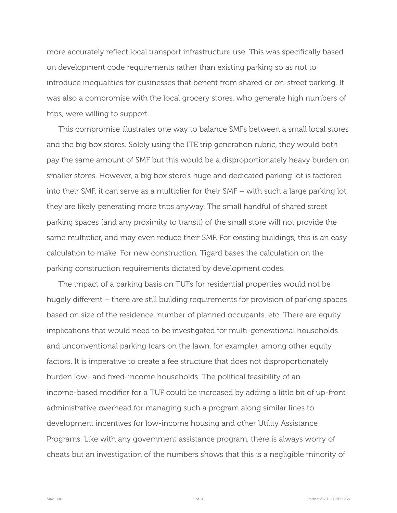more accurately reflect local transport infrastructure use. This was specifically based on development code requirements rather than existing parking so as not to introduce inequalities for businesses that benefit from shared or on-street parking. It was also a compromise with the local grocery stores, who generate high numbers of trips, were willing to support.

This compromise illustrates one way to balance SMFs between a small local stores and the big box stores. Solely using the ITE trip generation rubric, they would both pay the same amount of SMF but this would be a disproportionately heavy burden on smaller stores. However, a big box store's huge and dedicated parking lot is factored into their SMF, it can serve as a multiplier for their SMF – with such a large parking lot, they are likely generating more trips anyway. The small handful of shared street parking spaces (and any proximity to transit) of the small store will not provide the same multiplier, and may even reduce their SMF. For existing buildings, this is an easy calculation to make. For new construction, Tigard bases the calculation on the parking construction requirements dictated by development codes.

The impact of a parking basis on TUFs for residential properties would not be hugely different – there are still building requirements for provision of parking spaces based on size of the residence, number of planned occupants, etc. There are equity implications that would need to be investigated for multi-generational households and unconventional parking (cars on the lawn, for example), among other equity factors. It is imperative to create a fee structure that does not disproportionately burden low- and fixed-income households. The political feasibility of an income-based modifier for a TUF could be increased by adding a little bit of up-front administrative overhead for managing such a program along similar lines to development incentives for low-income housing and other Utility Assistance Programs. Like with any government assistance program, there is always worry of cheats but an investigation of the numbers shows that this is a negligible minority of

Mari Hsu Spring 2021 – URBP 236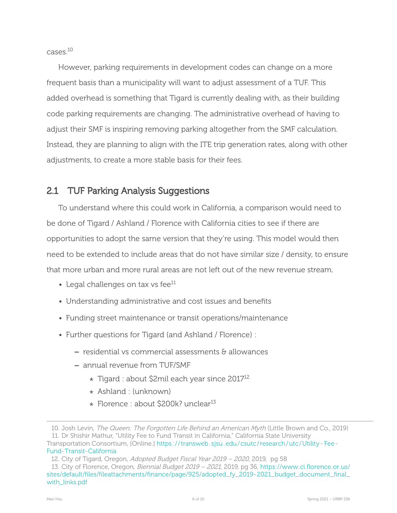$c$ ases  $10$ 

However, parking requirements in development codes can change on a more frequent basis than a municipality will want to adjust assessment of a TUF. This added overhead is something that Tigard is currently dealing with, as their building code parking requirements are changing. The administrative overhead of having to adjust their SMF is inspiring removing parking altogether from the SMF calculation. Instead, they are planning to align with the ITE trip generation rates, along with other adjustments, to create a more stable basis for their fees.

#### 2.1 TUF Parking Analysis Suggestions

To understand where this could work in California, a comparison would need to be done of Tigard / Ashland / Florence with California cities to see if there are opportunities to adopt the same version that they're using. This model would then need to be extended to include areas that do not have similar size / density, to ensure that more urban and more rural areas are not left out of the new revenue stream.

- Legal challenges on tax vs fee $^{11}$
- Understanding administrative and cost issues and benefits
- Funding street maintenance or transit operations/maintenance
- Further questions for Tigard (and Ashland / Florence) :
	- residential vs commercial assessments & allowances
	- annual revenue from TUF/SMF
		- \* Tigard : about \$2mil each year since 2017<sup>12</sup>
		- \* Ashland : (unknown)
		- $\star$  Florence : about \$200k? unclear<sup>13</sup>

<sup>10.</sup> Josh Levin, The Queen: The Forgotten Life Behind an American Myth (Little Brown and Co., 2019)

<sup>11.</sup> Dr Shishir Mathur, "Utility Fee to Fund Transit in California," California State University

Transportation Consortium, [Online.] [https: / / transweb . sjsu . edu / csutc / research / utc / Utility Fee](https://transweb.sjsu.edu/csutc/research/utc/Utility-Fee-Fund-Transit-California)  Fund-Transit-California

<sup>12.</sup> City of Tigard, Oregon, Adopted Budget Fiscal Year 2019 – 2020, 2019, pg 58

<sup>13.</sup> City of Florence, Oregon, Biennial Budget 2019 – 2021, 2019, pg 36, [https://www.ci.florence.or.us/](https://www.ci.florence.or.us/sites/default/files/fileattachments/finance/page/925/adopted_fy_2019-2021_budget_document_final_with_links.pdf) sites/default/files/fileattachments/finance/page/925/adopted\_fy\_2019-2021\_budget\_document\_final\_ [with\\_links.pdf](https://www.ci.florence.or.us/sites/default/files/fileattachments/finance/page/925/adopted_fy_2019-2021_budget_document_final_with_links.pdf)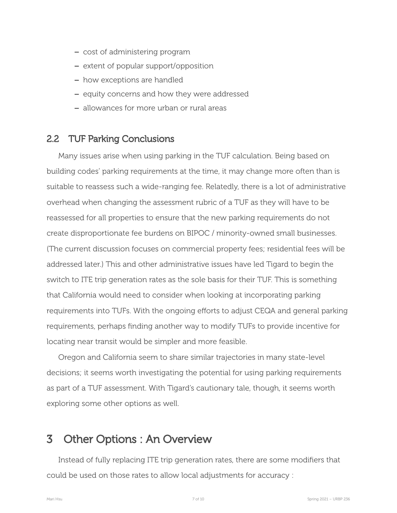- cost of administering program
- extent of popular support/opposition
- how exceptions are handled
- equity concerns and how they were addressed
- allowances for more urban or rural areas

#### 2.2 TUF Parking Conclusions

Many issues arise when using parking in the TUF calculation. Being based on building codes' parking requirements at the time, it may change more often than is suitable to reassess such a wide-ranging fee. Relatedly, there is a lot of administrative overhead when changing the assessment rubric of a TUF as they will have to be reassessed for all properties to ensure that the new parking requirements do not create disproportionate fee burdens on BIPOC / minority-owned small businesses. (The current discussion focuses on commercial property fees; residential fees will be addressed later.) This and other administrative issues have led Tigard to begin the switch to ITE trip generation rates as the sole basis for their TUF. This is something that California would need to consider when looking at incorporating parking requirements into TUFs. With the ongoing efforts to adjust CEQA and general parking requirements, perhaps finding another way to modify TUFs to provide incentive for locating near transit would be simpler and more feasible.

Oregon and California seem to share similar trajectories in many state-level decisions; it seems worth investigating the potential for using parking requirements as part of a TUF assessment. With Tigard's cautionary tale, though, it seems worth exploring some other options as well.

# 3 Other Options : An Overview

Instead of fully replacing ITE trip generation rates, there are some modifiers that could be used on those rates to allow local adjustments for accuracy :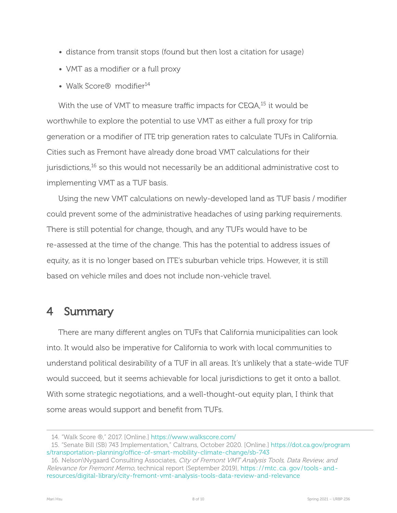- distance from transit stops (found but then lost a citation for usage)
- VMT as a modifier or a full proxy
- Walk Score® modifier<sup>14</sup>

With the use of VMT to measure traffic impacts for CEQA,<sup>15</sup> it would be worthwhile to explore the potential to use VMT as either a full proxy for trip generation or a modifier of ITE trip generation rates to calculate TUFs in California. Cities such as Fremont have already done broad VMT calculations for their jurisdictions,<sup>16</sup> so this would not necessarily be an additional administrative cost to implementing VMT as a TUF basis.

Using the new VMT calculations on newly-developed land as TUF basis / modifier could prevent some of the administrative headaches of using parking requirements. There is still potential for change, though, and any TUFs would have to be re-assessed at the time of the change. This has the potential to address issues of equity, as it is no longer based on ITE's suburban vehicle trips. However, it is still based on vehicle miles and does not include non-vehicle travel

# 4 Summary

There are many different angles on TUFs that California municipalities can look into. It would also be imperative for California to work with local communities to understand political desirability of a TUF in all areas. It's unlikely that a state-wide TUF would succeed, but it seems achievable for local jurisdictions to get it onto a ballot. With some strategic negotiations, and a well-thought-out equity plan, I think that some areas would support and benefit from TUFs.

<sup>14.</sup> "Walk Score ®," 2017. [Online.] <https://www.walkscore.com/>

<sup>15.</sup> "Senate Bill (SB) 743 Implementation," Caltrans, October 2020. [Online.] [https://dot.ca.gov/program](https://dot.ca.gov/programs/transportation-planning/office-of-smart-mobility-climate-change/sb-743) s/transportation-planning/office-of-smart-mobility-climate-change/sb-743

<sup>16.</sup> Nelson\Nygaard Consulting Associates, City of Fremont VMT Analysis Tools, Data Review, and Relevance for Fremont Memo, technical report (September 2019), https://mtc.ca.gov/tools-andresources/digital-library/city-fremont-vmt-analysis-tools-data-review-and-relevance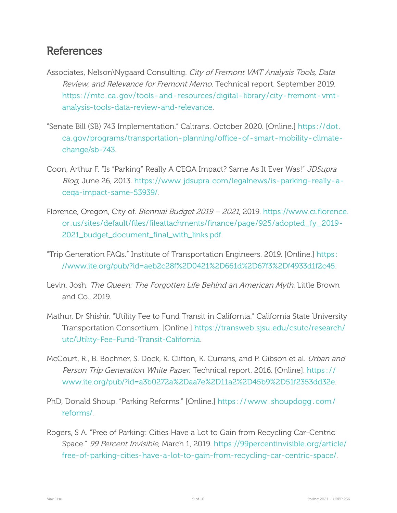# References

- Associates, Nelson\Nygaard Consulting. City of Fremont VMT Analysis Tools, Data Review, and Relevance for Fremont Memo. Technical report. September 2019. https://mtc.ca.gov/tools-and-resources/digital-library/city-fremont-vmtanalysis-tools-data-review-and-relevance.
- "Senate Bill (SB) 743 Implementation." Caltrans. October 2020. [Online.] [https: / /dot.](https://dot.ca.gov/programs/transportation-planning/office-of-smart-mobility-climate-change/sb-743) ca.gov/programs/transportation-planning/office-of-smart-mobility-climatechange/sb-743.
- Coon, Arthur F. "Is "Parking" Really A CEQA Impact? Same As It Ever Was!" JDSupra Blog, June 26, 2013. https://www.jdsupra.com/legalnews/is-parking-really-acega-impact-same-53939/.
- Florence, Oregon, City of. Biennial Budget 2019 2021, 2019. [https://www.ci.florence.](https://www.ci.florence.or.us/sites/default/files/fileattachments/finance/page/925/adopted_fy_2019-2021_budget_document_final_with_links.pdf) [or.us/sites/default/files/fileattachments/finance/page/925/adopted\\_fy\\_2019](https://www.ci.florence.or.us/sites/default/files/fileattachments/finance/page/925/adopted_fy_2019-2021_budget_document_final_with_links.pdf) [2021\\_budget\\_document\\_final\\_with\\_links.pdf](https://www.ci.florence.or.us/sites/default/files/fileattachments/finance/page/925/adopted_fy_2019-2021_budget_document_final_with_links.pdf).
- "Trip Generation FAQs." Institute of Transportation Engineers. 2019. [Online.] [https:](https://www.ite.org/pub/?id=aeb2c28f%2D0421%2D661d%2D67f3%2Df4933d1f2c45) [//www.ite.org/pub/?id=aeb2c28f%2D0421%2D661d%2D67f3%2Df4933d1f2c45.](https://www.ite.org/pub/?id=aeb2c28f%2D0421%2D661d%2D67f3%2Df4933d1f2c45)
- Levin, Josh. The Queen: The Forgotten Life Behind an American Myth. Little Brown and Co., 2019.
- Mathur, Dr Shishir. "Utility Fee to Fund Transit in California." California State University Transportation Consortium. [Online.] [https://transweb.sjsu.edu/csutc/research/](https://transweb.sjsu.edu/csutc/research/utc/Utility-Fee-Fund-Transit-California) utc/Utility-Fee-Fund-Transit-California.
- McCourt, R., B. Bochner, S. Dock, K. Clifton, K. Currans, and P. Gibson et al. *Urban and* Person Trip Generation White Paper. Technical report. 2016. [Online]. https:// [www.ite.org/pub/?id=a3b0272a%2Daa7e%2D11a2%2D45b9%2D51f2353dd32e.](https://www.ite.org/pub/?id=a3b0272a%2Daa7e%2D11a2%2D45b9%2D51f2353dd32e)
- PhD, Donald Shoup. "Parking Reforms." [Online.] [https : / / www . shoupdogg . com /](https://www.shoupdogg.com/reforms/) [reforms/](https://www.shoupdogg.com/reforms/).
- Rogers, S A. "Free of Parking: Cities Have a Lot to Gain from Recycling Car-Centric Space." 99 Percent Invisible, March 1, 2019. [https://99percentinvisible.org/article/](https://99percentinvisible.org/article/free-of-parking-cities-have-a-lot-to-gain-from-recycling-car-centric-space/) free-of-parking-cities-have-a-lot-to-gain-from-recycling-car-centric-space/.